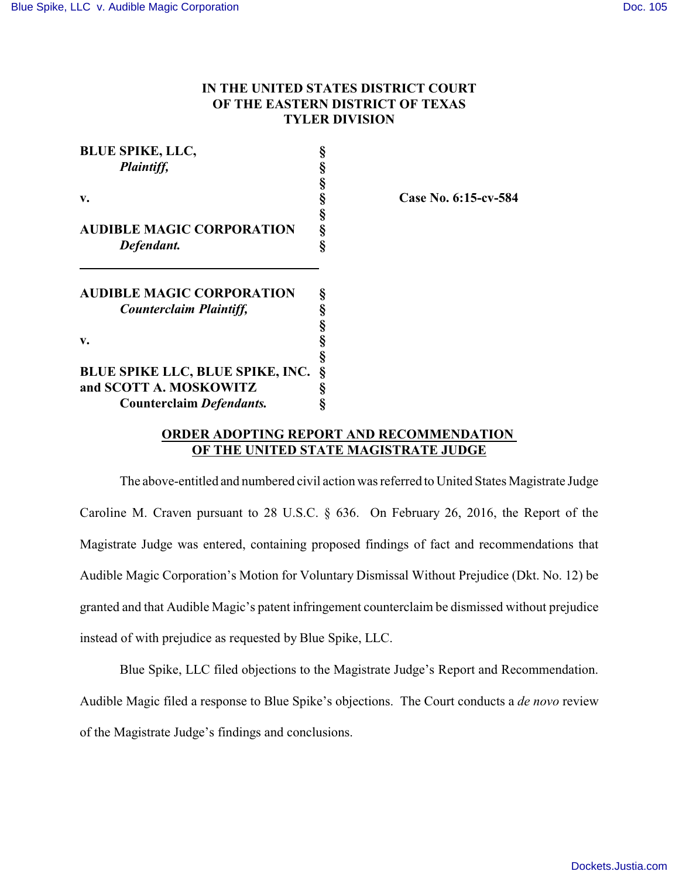# **IN THE UNITED STATES DISTRICT COURT OF THE EASTERN DISTRICT OF TEXAS TYLER DIVISION**

| <b>BLUE SPIKE, LLC,</b>                 |   |
|-----------------------------------------|---|
| Plaintiff,                              | § |
|                                         | § |
| v.                                      | § |
|                                         | § |
| <b>AUDIBLE MAGIC CORPORATION</b>        | § |
| Defendant.                              | Ś |
| <b>AUDIBLE MAGIC CORPORATION</b>        | § |
| <b>Counterclaim Plaintiff,</b>          | § |
|                                         | § |
| v.                                      | § |
|                                         | § |
| <b>BLUE SPIKE LLC, BLUE SPIKE, INC.</b> | § |
| and SCOTT A. MOSKOWITZ                  | § |
| <b>Counterclaim Defendants.</b>         | ş |

**v. § Case No. 6:15-cv-584**

## **ORDER ADOPTING REPORT AND RECOMMENDATION OF THE UNITED STATE MAGISTRATE JUDGE**

The above-entitled and numbered civil action was referred to United States Magistrate Judge Caroline M. Craven pursuant to 28 U.S.C. § 636. On February 26, 2016, the Report of the Magistrate Judge was entered, containing proposed findings of fact and recommendations that Audible Magic Corporation's Motion for Voluntary Dismissal Without Prejudice (Dkt. No. 12) be granted and that Audible Magic's patent infringement counterclaim be dismissed without prejudice instead of with prejudice as requested by Blue Spike, LLC.

Blue Spike, LLC filed objections to the Magistrate Judge's Report and Recommendation. Audible Magic filed a response to Blue Spike's objections. The Court conducts a *de novo* review of the Magistrate Judge's findings and conclusions.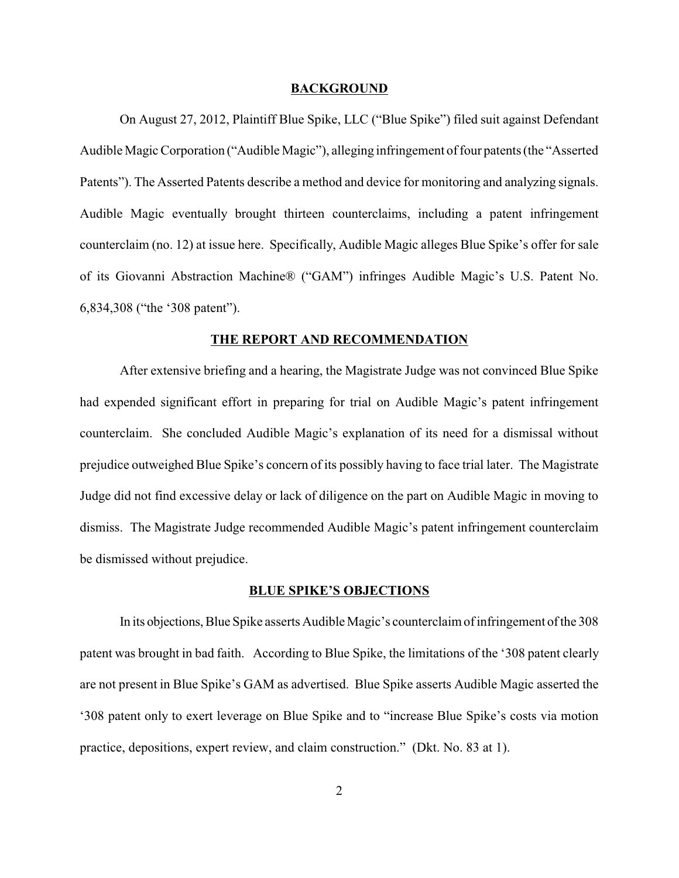#### **BACKGROUND**

On August 27, 2012, Plaintiff Blue Spike, LLC ("Blue Spike") filed suit against Defendant Audible Magic Corporation ("Audible Magic"), alleging infringement of four patents (the "Asserted Patents"). The Asserted Patents describe a method and device for monitoring and analyzing signals. Audible Magic eventually brought thirteen counterclaims, including a patent infringement counterclaim (no. 12) at issue here. Specifically, Audible Magic alleges Blue Spike's offer for sale of its Giovanni Abstraction Machine® ("GAM") infringes Audible Magic's U.S. Patent No. 6,834,308 ("the '308 patent").

#### **THE REPORT AND RECOMMENDATION**

After extensive briefing and a hearing, the Magistrate Judge was not convinced Blue Spike had expended significant effort in preparing for trial on Audible Magic's patent infringement counterclaim. She concluded Audible Magic's explanation of its need for a dismissal without prejudice outweighed Blue Spike's concern of its possibly having to face trial later. The Magistrate Judge did not find excessive delay or lack of diligence on the part on Audible Magic in moving to dismiss. The Magistrate Judge recommended Audible Magic's patent infringement counterclaim be dismissed without prejudice.

#### **BLUE SPIKE'S OBJECTIONS**

In its objections, Blue Spike asserts Audible Magic's counterclaim of infringement of the 308 patent was brought in bad faith. According to Blue Spike, the limitations of the '308 patent clearly are not present in Blue Spike's GAM as advertised. Blue Spike asserts Audible Magic asserted the '308 patent only to exert leverage on Blue Spike and to "increase Blue Spike's costs via motion practice, depositions, expert review, and claim construction." (Dkt. No. 83 at 1).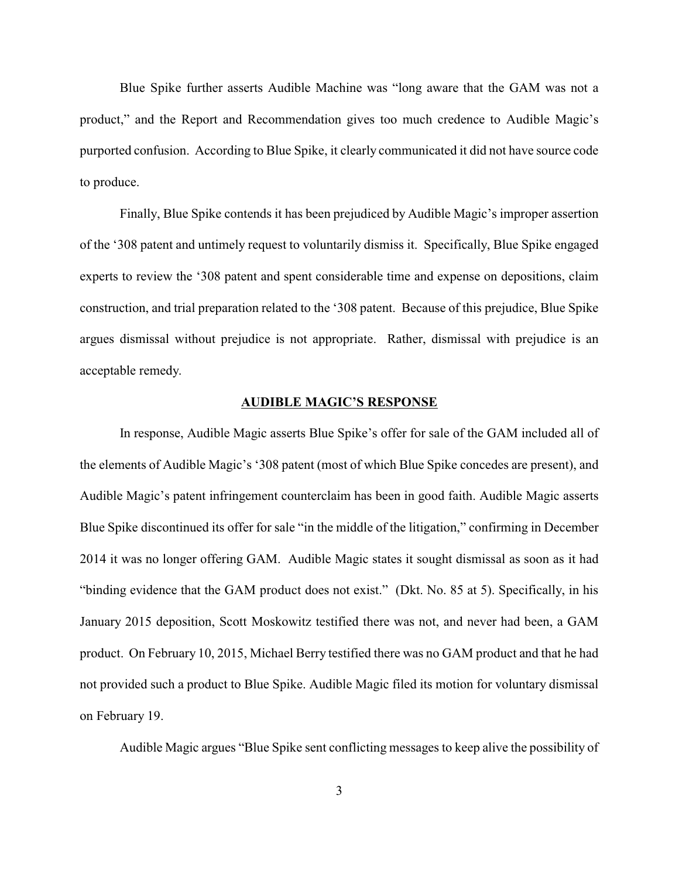Blue Spike further asserts Audible Machine was "long aware that the GAM was not a product," and the Report and Recommendation gives too much credence to Audible Magic's purported confusion. According to Blue Spike, it clearly communicated it did not have source code to produce.

Finally, Blue Spike contends it has been prejudiced by Audible Magic's improper assertion of the '308 patent and untimely request to voluntarily dismiss it. Specifically, Blue Spike engaged experts to review the '308 patent and spent considerable time and expense on depositions, claim construction, and trial preparation related to the '308 patent. Because of this prejudice, Blue Spike argues dismissal without prejudice is not appropriate. Rather, dismissal with prejudice is an acceptable remedy.

## **AUDIBLE MAGIC'S RESPONSE**

In response, Audible Magic asserts Blue Spike's offer for sale of the GAM included all of the elements of Audible Magic's '308 patent (most of which Blue Spike concedes are present), and Audible Magic's patent infringement counterclaim has been in good faith. Audible Magic asserts Blue Spike discontinued its offer for sale "in the middle of the litigation," confirming in December 2014 it was no longer offering GAM. Audible Magic states it sought dismissal as soon as it had "binding evidence that the GAM product does not exist." (Dkt. No. 85 at 5). Specifically, in his January 2015 deposition, Scott Moskowitz testified there was not, and never had been, a GAM product. On February 10, 2015, Michael Berry testified there was no GAM product and that he had not provided such a product to Blue Spike. Audible Magic filed its motion for voluntary dismissal on February 19.

Audible Magic argues "Blue Spike sent conflicting messages to keep alive the possibility of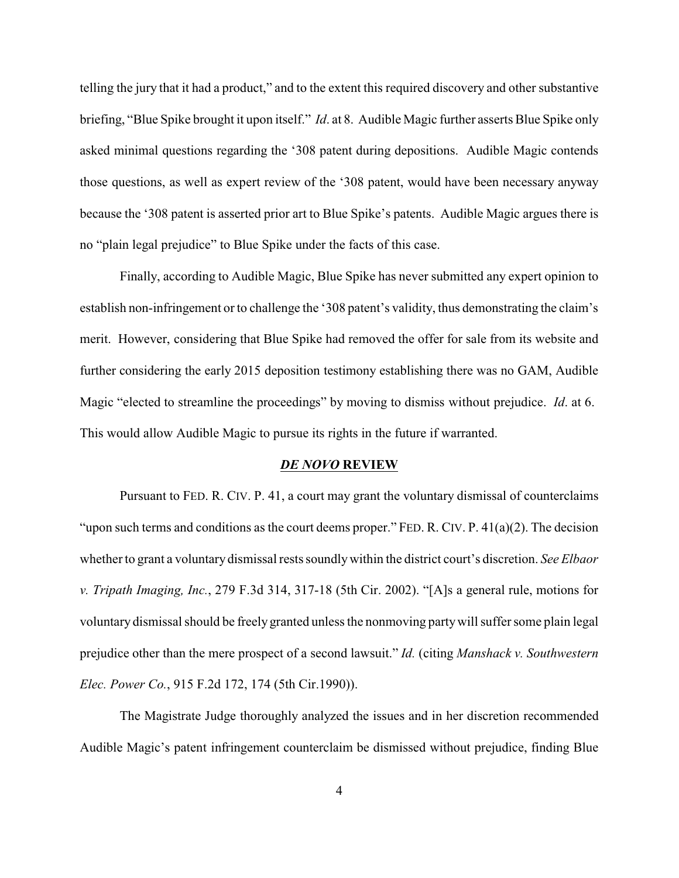telling the jury that it had a product," and to the extent this required discovery and other substantive briefing, "Blue Spike brought it upon itself." *Id*. at 8. Audible Magic further asserts Blue Spike only asked minimal questions regarding the '308 patent during depositions. Audible Magic contends those questions, as well as expert review of the '308 patent, would have been necessary anyway because the '308 patent is asserted prior art to Blue Spike's patents. Audible Magic argues there is no "plain legal prejudice" to Blue Spike under the facts of this case.

Finally, according to Audible Magic, Blue Spike has never submitted any expert opinion to establish non-infringement or to challenge the '308 patent's validity, thus demonstrating the claim's merit. However, considering that Blue Spike had removed the offer for sale from its website and further considering the early 2015 deposition testimony establishing there was no GAM, Audible Magic "elected to streamline the proceedings" by moving to dismiss without prejudice. *Id*. at 6. This would allow Audible Magic to pursue its rights in the future if warranted.

### *DE NOVO* **REVIEW**

Pursuant to FED. R. CIV. P. 41, a court may grant the voluntary dismissal of counterclaims "upon such terms and conditions as the court deems proper." FED. R. CIV. P. 41(a)(2). The decision whether to grant a voluntary dismissal rests soundly within the district court's discretion. *See Elbaor v. Tripath Imaging, Inc.*, 279 F.3d 314, 317-18 (5th Cir. 2002). "[A]s a general rule, motions for voluntary dismissal should be freely granted unless the nonmoving party will suffer some plain legal prejudice other than the mere prospect of a second lawsuit." *Id.* (citing *Manshack v. Southwestern Elec. Power Co.*, 915 F.2d 172, 174 (5th Cir.1990)).

The Magistrate Judge thoroughly analyzed the issues and in her discretion recommended Audible Magic's patent infringement counterclaim be dismissed without prejudice, finding Blue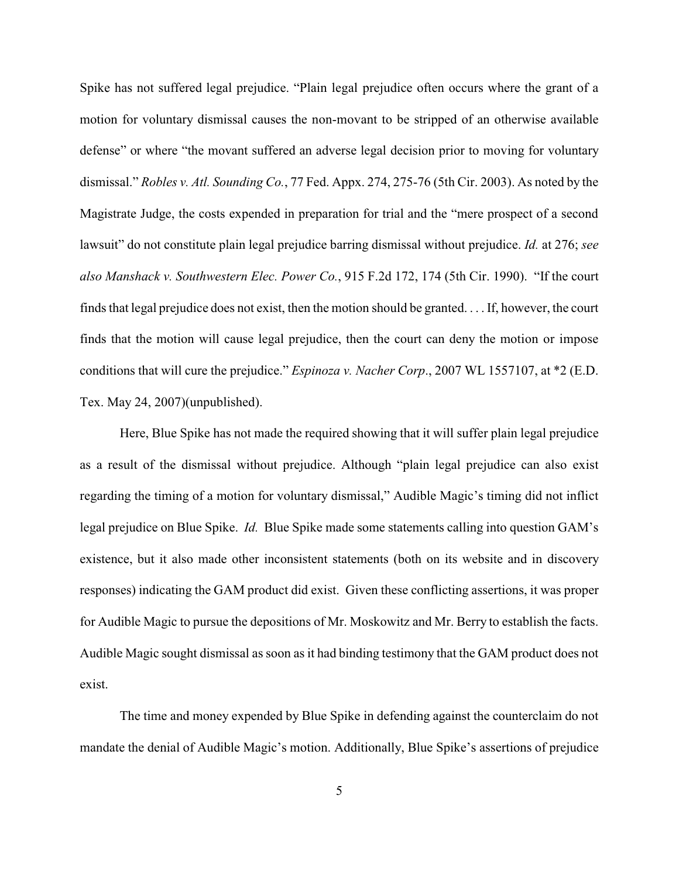Spike has not suffered legal prejudice. "Plain legal prejudice often occurs where the grant of a motion for voluntary dismissal causes the non-movant to be stripped of an otherwise available defense" or where "the movant suffered an adverse legal decision prior to moving for voluntary dismissal." *Robles v. Atl. Sounding Co.*, 77 Fed. Appx. 274, 275-76 (5th Cir. 2003). As noted by the Magistrate Judge, the costs expended in preparation for trial and the "mere prospect of a second lawsuit" do not constitute plain legal prejudice barring dismissal without prejudice. *Id.* at 276; *see also Manshack v. Southwestern Elec. Power Co.*, 915 F.2d 172, 174 (5th Cir. 1990). "If the court finds that legal prejudice does not exist, then the motion should be granted. . . . If, however, the court finds that the motion will cause legal prejudice, then the court can deny the motion or impose conditions that will cure the prejudice." *Espinoza v. Nacher Corp*., 2007 WL 1557107, at \*2 (E.D. Tex. May 24, 2007)(unpublished).

Here, Blue Spike has not made the required showing that it will suffer plain legal prejudice as a result of the dismissal without prejudice. Although "plain legal prejudice can also exist regarding the timing of a motion for voluntary dismissal," Audible Magic's timing did not inflict legal prejudice on Blue Spike. *Id.* Blue Spike made some statements calling into question GAM's existence, but it also made other inconsistent statements (both on its website and in discovery responses) indicating the GAM product did exist. Given these conflicting assertions, it was proper for Audible Magic to pursue the depositions of Mr. Moskowitz and Mr. Berry to establish the facts. Audible Magic sought dismissal as soon as it had binding testimony that the GAM product does not exist.

The time and money expended by Blue Spike in defending against the counterclaim do not mandate the denial of Audible Magic's motion. Additionally, Blue Spike's assertions of prejudice